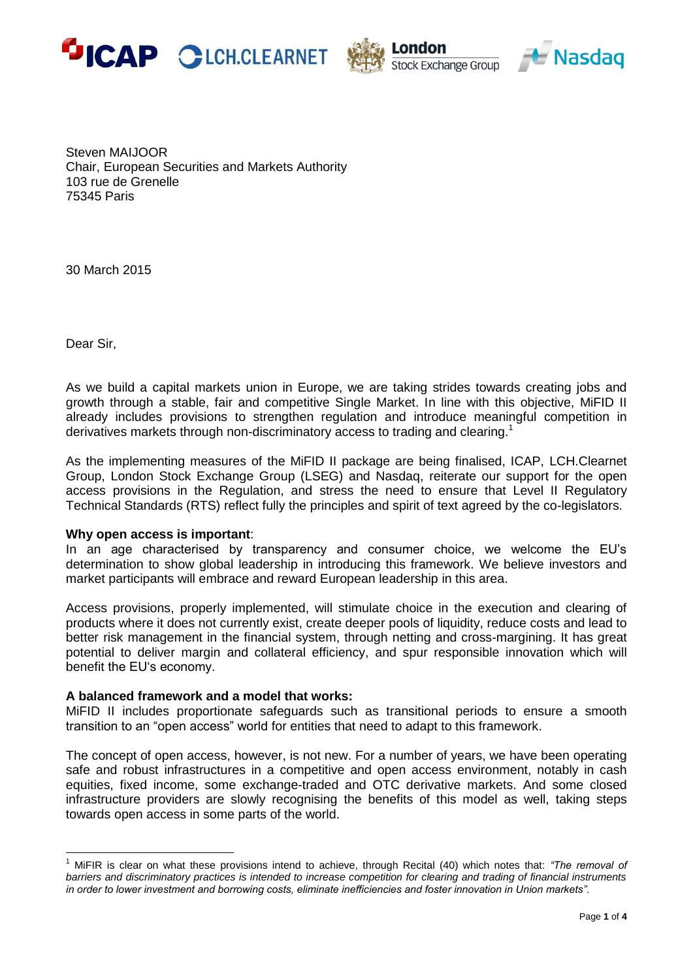





Steven MAIJOOR Chair, European Securities and Markets Authority 103 rue de Grenelle 75345 Paris

30 March 2015

Dear Sir,

 $\overline{a}$ 

As we build a capital markets union in Europe, we are taking strides towards creating jobs and growth through a stable, fair and competitive Single Market. In line with this objective, MiFID II already includes provisions to strengthen regulation and introduce meaningful competition in derivatives markets through non-discriminatory access to trading and clearing.<sup>1</sup>

As the implementing measures of the MiFID II package are being finalised, ICAP, LCH.Clearnet Group, London Stock Exchange Group (LSEG) and Nasdaq, reiterate our support for the open access provisions in the Regulation, and stress the need to ensure that Level II Regulatory Technical Standards (RTS) reflect fully the principles and spirit of text agreed by the co-legislators.

## **Why open access is important**:

In an age characterised by transparency and consumer choice, we welcome the EU's determination to show global leadership in introducing this framework. We believe investors and market participants will embrace and reward European leadership in this area.

Access provisions, properly implemented, will stimulate choice in the execution and clearing of products where it does not currently exist, create deeper pools of liquidity, reduce costs and lead to better risk management in the financial system, through netting and cross-margining. It has great potential to deliver margin and collateral efficiency, and spur responsible innovation which will benefit the EU's economy.

## **A balanced framework and a model that works:**

MiFID II includes proportionate safeguards such as transitional periods to ensure a smooth transition to an "open access" world for entities that need to adapt to this framework.

The concept of open access, however, is not new. For a number of years, we have been operating safe and robust infrastructures in a competitive and open access environment, notably in cash equities, fixed income, some exchange-traded and OTC derivative markets. And some closed infrastructure providers are slowly recognising the benefits of this model as well, taking steps towards open access in some parts of the world.

<sup>1</sup> MiFIR is clear on what these provisions intend to achieve, through Recital (40) which notes that: *"The removal of barriers and discriminatory practices is intended to increase competition for clearing and trading of financial instruments in order to lower investment and borrowing costs, eliminate inefficiencies and foster innovation in Union markets".*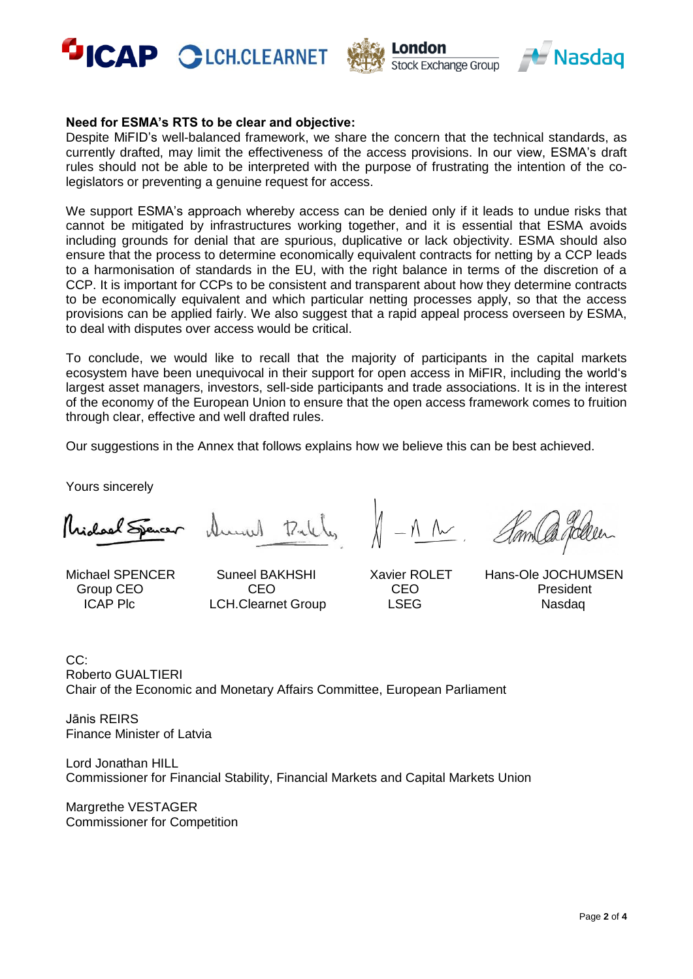





## **Need for ESMA's RTS to be clear and objective:**

Despite MiFID's well-balanced framework, we share the concern that the technical standards, as currently drafted, may limit the effectiveness of the access provisions. In our view, ESMA's draft rules should not be able to be interpreted with the purpose of frustrating the intention of the colegislators or preventing a genuine request for access.

We support ESMA's approach whereby access can be denied only if it leads to undue risks that cannot be mitigated by infrastructures working together, and it is essential that ESMA avoids including grounds for denial that are spurious, duplicative or lack objectivity. ESMA should also ensure that the process to determine economically equivalent contracts for netting by a CCP leads to a harmonisation of standards in the EU, with the right balance in terms of the discretion of a CCP. It is important for CCPs to be consistent and transparent about how they determine contracts to be economically equivalent and which particular netting processes apply, so that the access provisions can be applied fairly. We also suggest that a rapid appeal process overseen by ESMA, to deal with disputes over access would be critical.

To conclude, we would like to recall that the majority of participants in the capital markets ecosystem have been unequivocal in their support for open access in MiFIR, including the world's largest asset managers, investors, sell-side participants and trade associations. It is in the interest of the economy of the European Union to ensure that the open access framework comes to fruition through clear, effective and well drafted rules.

Our suggestions in the Annex that follows explains how we believe this can be best achieved.

Yours sincerely

Mai lael Spence

 $7.11$ 

 $\wedge$   $\sim$ 

Michael SPENCER Suneel BAKHSHI Xavier ROLET Hans-Ole JOCHUMSEN Group CEO CEO CEO President ICAP Plc CH.Clearnet Group LSEG Nasdaq

CC: Roberto GUALTIERI Chair of the Economic and Monetary Affairs Committee, European Parliament

Jānis REIRS Finance Minister of Latvia

Lord Jonathan HILL Commissioner for Financial Stability, Financial Markets and Capital Markets Union

Margrethe VESTAGER Commissioner for Competition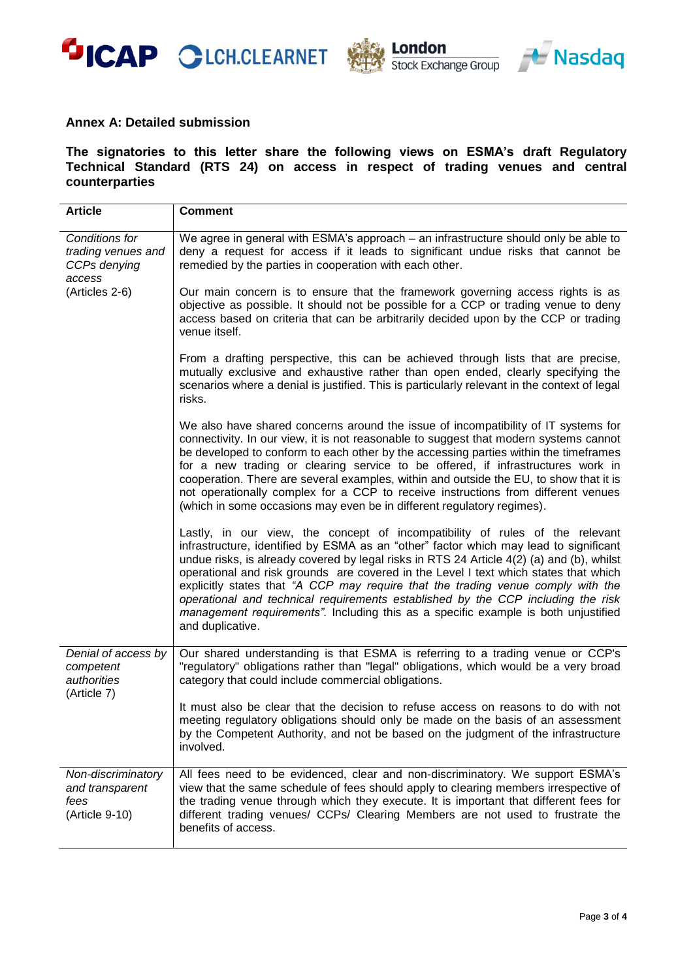





## **Annex A: Detailed submission**

**The signatories to this letter share the following views on ESMA's draft Regulatory Technical Standard (RTS 24) on access in respect of trading venues and central counterparties** 

| <b>Article</b>                                                  | <b>Comment</b>                                                                                                                                                                                                                                                                                                                                                                                                                                                                                                                                                                                                                               |
|-----------------------------------------------------------------|----------------------------------------------------------------------------------------------------------------------------------------------------------------------------------------------------------------------------------------------------------------------------------------------------------------------------------------------------------------------------------------------------------------------------------------------------------------------------------------------------------------------------------------------------------------------------------------------------------------------------------------------|
| Conditions for<br>trading venues and<br>CCPs denying<br>access  | We agree in general with ESMA's approach – an infrastructure should only be able to<br>deny a request for access if it leads to significant undue risks that cannot be<br>remedied by the parties in cooperation with each other.                                                                                                                                                                                                                                                                                                                                                                                                            |
| (Articles 2-6)                                                  | Our main concern is to ensure that the framework governing access rights is as<br>objective as possible. It should not be possible for a CCP or trading venue to deny<br>access based on criteria that can be arbitrarily decided upon by the CCP or trading<br>venue itself.                                                                                                                                                                                                                                                                                                                                                                |
|                                                                 | From a drafting perspective, this can be achieved through lists that are precise,<br>mutually exclusive and exhaustive rather than open ended, clearly specifying the<br>scenarios where a denial is justified. This is particularly relevant in the context of legal<br>risks.                                                                                                                                                                                                                                                                                                                                                              |
|                                                                 | We also have shared concerns around the issue of incompatibility of IT systems for<br>connectivity. In our view, it is not reasonable to suggest that modern systems cannot<br>be developed to conform to each other by the accessing parties within the timeframes<br>for a new trading or clearing service to be offered, if infrastructures work in<br>cooperation. There are several examples, within and outside the EU, to show that it is<br>not operationally complex for a CCP to receive instructions from different venues<br>(which in some occasions may even be in different regulatory regimes).                              |
|                                                                 | Lastly, in our view, the concept of incompatibility of rules of the relevant<br>infrastructure, identified by ESMA as an "other" factor which may lead to significant<br>undue risks, is already covered by legal risks in RTS 24 Article 4(2) (a) and (b), whilst<br>operational and risk grounds are covered in the Level I text which states that which<br>explicitly states that "A CCP may require that the trading venue comply with the<br>operational and technical requirements established by the CCP including the risk<br>management requirements". Including this as a specific example is both unjustified<br>and duplicative. |
| Denial of access by<br>competent<br>authorities<br>(Article 7)  | Our shared understanding is that ESMA is referring to a trading venue or CCP's<br>"regulatory" obligations rather than "legal" obligations, which would be a very broad<br>category that could include commercial obligations.                                                                                                                                                                                                                                                                                                                                                                                                               |
|                                                                 | It must also be clear that the decision to refuse access on reasons to do with not<br>meeting regulatory obligations should only be made on the basis of an assessment<br>by the Competent Authority, and not be based on the judgment of the infrastructure<br>involved.                                                                                                                                                                                                                                                                                                                                                                    |
| Non-discriminatory<br>and transparent<br>fees<br>(Article 9-10) | All fees need to be evidenced, clear and non-discriminatory. We support ESMA's<br>view that the same schedule of fees should apply to clearing members irrespective of<br>the trading venue through which they execute. It is important that different fees for<br>different trading venues/ CCPs/ Clearing Members are not used to frustrate the<br>benefits of access.                                                                                                                                                                                                                                                                     |